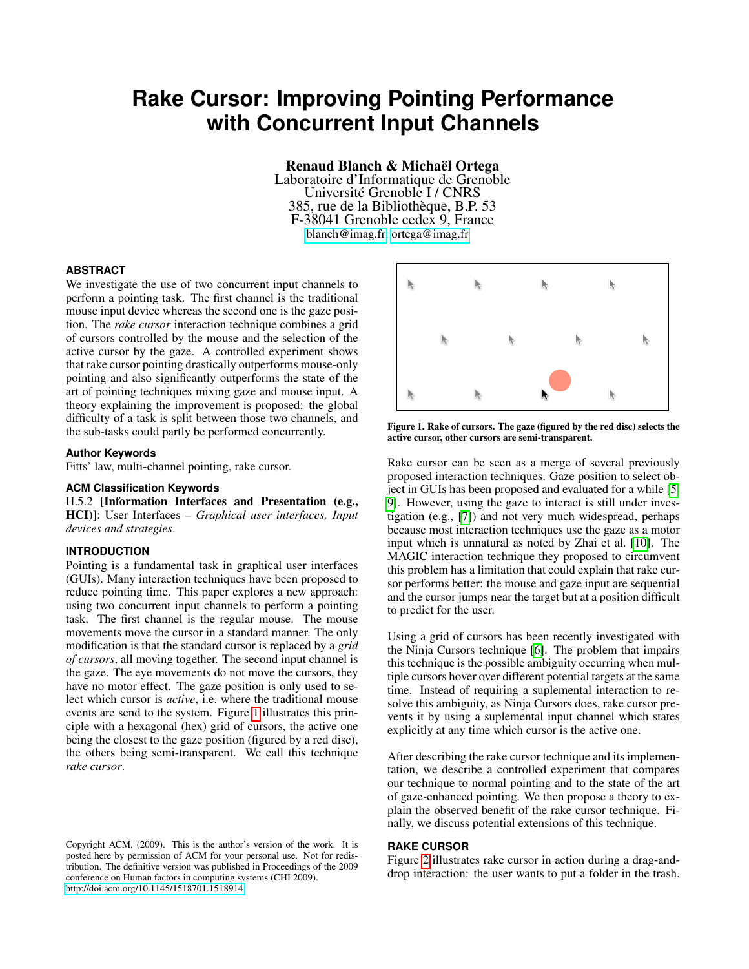# **Rake Cursor: Improving Pointing Performance with Concurrent Input Channels**

Renaud Blanch & Michaël Ortega

Laboratoire d'Informatique de Grenoble Université Grenoble I / CNRS 385, rue de la Bibliothèque, B.P. 53 F-38041 Grenoble cedex 9, France [blanch@imag.fr,](mailto:blanch@imag.fr) [ortega@imag.fr](mailto:ortega@imag.fr)

## **ABSTRACT**

We investigate the use of two concurrent input channels to perform a pointing task. The first channel is the traditional mouse input device whereas the second one is the gaze position. The *rake cursor* interaction technique combines a grid of cursors controlled by the mouse and the selection of the active cursor by the gaze. A controlled experiment shows that rake cursor pointing drastically outperforms mouse-only pointing and also significantly outperforms the state of the art of pointing techniques mixing gaze and mouse input. A theory explaining the improvement is proposed: the global difficulty of a task is split between those two channels, and the sub-tasks could partly be performed concurrently.

# **Author Keywords**

Fitts' law, multi-channel pointing, rake cursor.

# **ACM Classification Keywords**

H.5.2 [Information Interfaces and Presentation (e.g., HCI)]: User Interfaces – *Graphical user interfaces, Input devices and strategies*.

## **INTRODUCTION**

Pointing is a fundamental task in graphical user interfaces (GUIs). Many interaction techniques have been proposed to reduce pointing time. This paper explores a new approach: using two concurrent input channels to perform a pointing task. The first channel is the regular mouse. The mouse movements move the cursor in a standard manner. The only modification is that the standard cursor is replaced by a *grid of cursors*, all moving together. The second input channel is the gaze. The eye movements do not move the cursors, they have no motor effect. The gaze position is only used to select which cursor is *active*, i.e. where the traditional mouse events are send to the system. Figure [1](#page-0-0) illustrates this principle with a hexagonal (hex) grid of cursors, the active one being the closest to the gaze position (figured by a red disc), the others being semi-transparent. We call this technique *rake cursor*.



<span id="page-0-0"></span>Figure 1. Rake of cursors. The gaze (figured by the red disc) selects the active cursor, other cursors are semi-transparent.

Rake cursor can be seen as a merge of several previously proposed interaction techniques. Gaze position to select object in GUIs has been proposed and evaluated for a while [\[5,](#page-3-0) [9\]](#page-3-1). However, using the gaze to interact is still under investigation (e.g., [\[7\]](#page-3-2)) and not very much widespread, perhaps because most interaction techniques use the gaze as a motor input which is unnatural as noted by Zhai et al. [\[10\]](#page-3-3). The MAGIC interaction technique they proposed to circumvent this problem has a limitation that could explain that rake cursor performs better: the mouse and gaze input are sequential and the cursor jumps near the target but at a position difficult to predict for the user.

Using a grid of cursors has been recently investigated with the Ninja Cursors technique [\[6\]](#page-3-4). The problem that impairs this technique is the possible ambiguity occurring when multiple cursors hover over different potential targets at the same time. Instead of requiring a suplemental interaction to resolve this ambiguity, as Ninja Cursors does, rake cursor prevents it by using a suplemental input channel which states explicitly at any time which cursor is the active one.

After describing the rake cursor technique and its implementation, we describe a controlled experiment that compares our technique to normal pointing and to the state of the art of gaze-enhanced pointing. We then propose a theory to explain the observed benefit of the rake cursor technique. Finally, we discuss potential extensions of this technique.

# **RAKE CURSOR**

Figure [2](#page-1-0) illustrates rake cursor in action during a drag-anddrop interaction: the user wants to put a folder in the trash.

Copyright ACM, (2009). This is the author's version of the work. It is posted here by permission of ACM for your personal use. Not for redistribution. The definitive version was published in Proceedings of the 2009 conference on Human factors in computing systems (CHI 2009). <http://doi.acm.org/10.1145/1518701.1518914>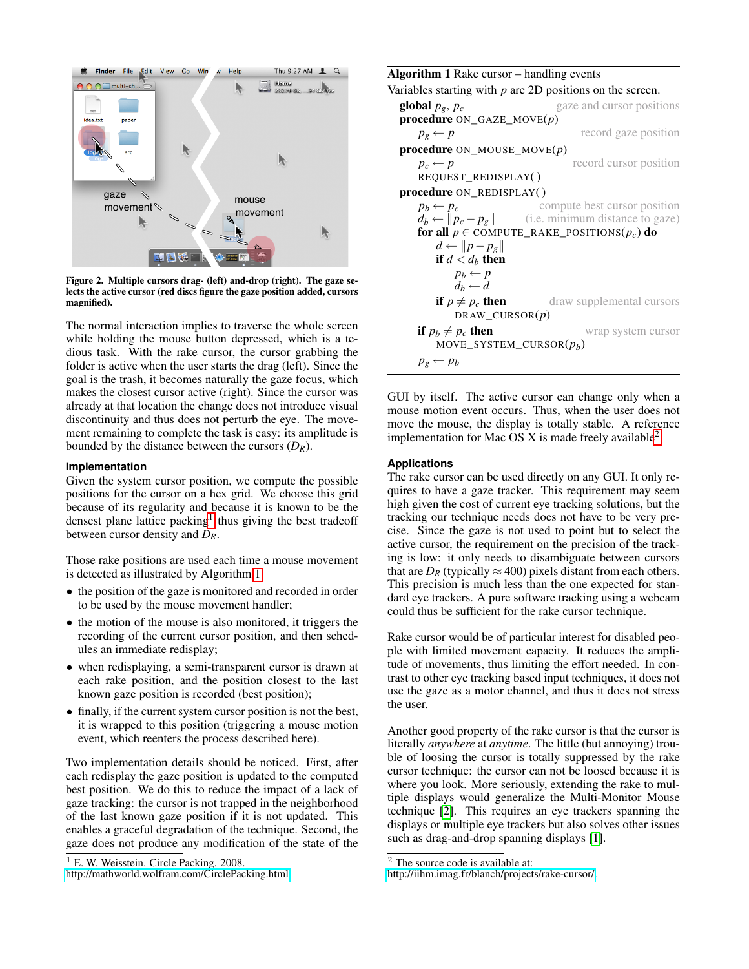

Figure 2. Multiple cursors drag- (left) and-drop (right). The gaze selects the active cursor (red discs figure the gaze position added, cursors magnified).

The normal interaction implies to traverse the whole screen while holding the mouse button depressed, which is a tedious task. With the rake cursor, the cursor grabbing the folder is active when the user starts the drag (left). Since the goal is the trash, it becomes naturally the gaze focus, which makes the closest cursor active (right). Since the cursor was already at that location the change does not introduce visual discontinuity and thus does not perturb the eye. The movement remaining to complete the task is easy: its amplitude is bounded by the distance between the cursors  $(D_R)$ .

#### **Implementation**

Given the system cursor position, we compute the possible positions for the cursor on a hex grid. We choose this grid because of its regularity and because it is known to be the densest plane lattice packing<sup>[1](#page-1-1)</sup> thus giving the best tradeoff between cursor density and *DR*.

Those rake positions are used each time a mouse movement is detected as illustrated by Algorithm [1:](#page-1-2)

- the position of the gaze is monitored and recorded in order to be used by the mouse movement handler;
- the motion of the mouse is also monitored, it triggers the recording of the current cursor position, and then schedules an immediate redisplay;
- when redisplaying, a semi-transparent cursor is drawn at each rake position, and the position closest to the last known gaze position is recorded (best position);
- finally, if the current system cursor position is not the best, it is wrapped to this position (triggering a mouse motion event, which reenters the process described here).

Two implementation details should be noticed. First, after each redisplay the gaze position is updated to the computed best position. We do this to reduce the impact of a lack of gaze tracking: the cursor is not trapped in the neighborhood of the last known gaze position if it is not updated. This enables a graceful degradation of the technique. Second, the gaze does not produce any modification of the state of the

```
<sup>1</sup> E. W. Weisstein. Circle Packing. 2008.
```
<http://mathworld.wolfram.com/CirclePacking.html>

<span id="page-1-2"></span>

| <b>Algorithm 1</b> Rake cursor – handling events            |                                                                |
|-------------------------------------------------------------|----------------------------------------------------------------|
| Variables starting with $p$ are 2D positions on the screen. |                                                                |
| global $p_g, p_c$                                           | gaze and cursor positions                                      |
| <b>procedure</b> $ON_GAZE_MOVE(p)$                          |                                                                |
| $p_g \leftarrow p$                                          | record gaze position                                           |
| procedure $ON\_MOUSE\_MOVE(p)$                              |                                                                |
| $p_c \leftarrow p$                                          | record cursor position                                         |
| REQUEST_REDISPLAY()                                         |                                                                |
| <b>procedure</b> ON REDISPLAY()                             |                                                                |
| $p_b \leftarrow p_c$                                        | compute best cursor position                                   |
|                                                             | $d_b \leftarrow   p_c - p_g  $ (i.e. minimum distance to gaze) |
| for all $p \in \text{COMPUTE\_RAKE\_POSITIONS}(p_c)$ do     |                                                                |
| $d \leftarrow   p-p_{g}  $                                  |                                                                |
| if $d < d_h$ then                                           |                                                                |
| $p_b \leftarrow p$<br>$d_h \leftarrow d$                    |                                                                |
| if $p \neq p_c$ then                                        | draw supplemental cursors                                      |
| DRAW CURSOR $(p)$                                           |                                                                |
| if $p_b \neq p_c$ then                                      | wrap system cursor                                             |
| MOVE_SYSTEM_CURSOR $(p_h)$                                  |                                                                |
| $p_g \leftarrow p_b$                                        |                                                                |

<span id="page-1-0"></span>GUI by itself. The active cursor can change only when a mouse motion event occurs. Thus, when the user does not move the mouse, the display is totally stable. A reference implementation for Mac OS X is made freely available<sup>[2](#page-1-3)</sup>.

#### **Applications**

The rake cursor can be used directly on any GUI. It only requires to have a gaze tracker. This requirement may seem high given the cost of current eye tracking solutions, but the tracking our technique needs does not have to be very precise. Since the gaze is not used to point but to select the active cursor, the requirement on the precision of the tracking is low: it only needs to disambiguate between cursors that are  $D_R$  (typically  $\approx$  400) pixels distant from each others. This precision is much less than the one expected for standard eye trackers. A pure software tracking using a webcam could thus be sufficient for the rake cursor technique.

Rake cursor would be of particular interest for disabled people with limited movement capacity. It reduces the amplitude of movements, thus limiting the effort needed. In contrast to other eye tracking based input techniques, it does not use the gaze as a motor channel, and thus it does not stress the user.

Another good property of the rake cursor is that the cursor is literally *anywhere* at *anytime*. The little (but annoying) trouble of loosing the cursor is totally suppressed by the rake cursor technique: the cursor can not be loosed because it is where you look. More seriously, extending the rake to multiple displays would generalize the Multi-Monitor Mouse technique [\[2\]](#page-3-5). This requires an eye trackers spanning the displays or multiple eye trackers but also solves other issues such as drag-and-drop spanning displays [\[1\]](#page-3-6).

<span id="page-1-3"></span><sup>2</sup> The source code is available at:

[http://iihm.imag.fr/blanch/projects/rake-cursor/.](http://iihm.imag.fr/blanch/projects/rake-cursor/)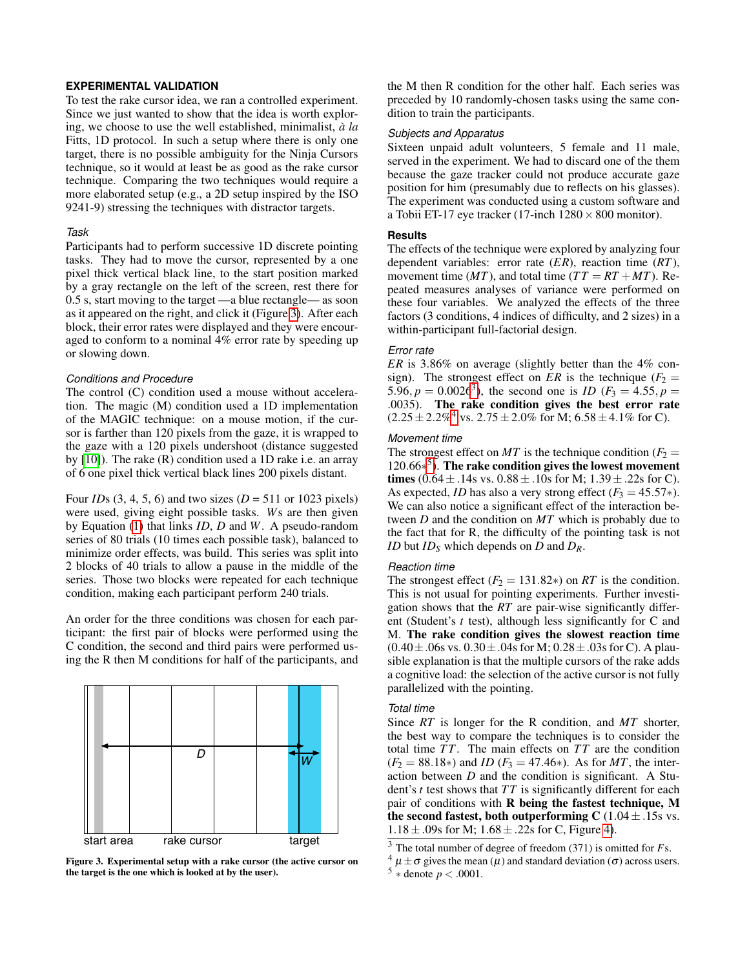# **EXPERIMENTAL VALIDATION**

To test the rake cursor idea, we ran a controlled experiment. Since we just wanted to show that the idea is worth exploring, we choose to use the well established, minimalist, *à la* Fitts, 1D protocol. In such a setup where there is only one target, there is no possible ambiguity for the Ninja Cursors technique, so it would at least be as good as the rake cursor technique. Comparing the two techniques would require a more elaborated setup (e.g., a 2D setup inspired by the ISO 9241-9) stressing the techniques with distractor targets.

#### *Task*

Participants had to perform successive 1D discrete pointing tasks. They had to move the cursor, represented by a one pixel thick vertical black line, to the start position marked by a gray rectangle on the left of the screen, rest there for 0.5 s, start moving to the target —a blue rectangle— as soon as it appeared on the right, and click it (Figure [3\)](#page-2-0). After each block, their error rates were displayed and they were encouraged to conform to a nominal 4% error rate by speeding up or slowing down.

#### *Conditions and Procedure*

The control (C) condition used a mouse without acceleration. The magic (M) condition used a 1D implementation of the MAGIC technique: on a mouse motion, if the cursor is farther than 120 pixels from the gaze, it is wrapped to the gaze with a 120 pixels undershoot (distance suggested by [\[10\]](#page-3-3)). The rake (R) condition used a 1D rake i.e. an array of 6 one pixel thick vertical black lines 200 pixels distant.

# Four *ID*s (3, 4, 5, 6) and two sizes (*D* = 511 or 1023 pixels) were used, giving eight possible tasks. *W*s are then given by Equation [\(1\)](#page-3-7) that links *ID*, *D* and *W*. A pseudo-random series of 80 trials (10 times each possible task), balanced to minimize order effects, was build. This series was split into 2 blocks of 40 trials to allow a pause in the middle of the series. Those two blocks were repeated for each technique condition, making each participant perform 240 trials.

An order for the three conditions was chosen for each participant: the first pair of blocks were performed using the C condition, the second and third pairs were performed using the R then M conditions for half of the participants, and



Figure 3. Experimental setup with a rake cursor (the active cursor on the target is the one which is looked at by the user).

the M then R condition for the other half. Each series was preceded by 10 randomly-chosen tasks using the same condition to train the participants.

## *Subjects and Apparatus*

Sixteen unpaid adult volunteers, 5 female and 11 male, served in the experiment. We had to discard one of the them because the gaze tracker could not produce accurate gaze position for him (presumably due to reflects on his glasses). The experiment was conducted using a custom software and a Tobii ET-17 eye tracker (17-inch  $1280 \times 800$  monitor).

# **Results**

The effects of the technique were explored by analyzing four dependent variables: error rate (*ER*), reaction time (*RT*), movement time ( $MT$ ), and total time ( $TT = RT + MT$ ). Repeated measures analyses of variance were performed on these four variables. We analyzed the effects of the three factors (3 conditions, 4 indices of difficulty, and 2 sizes) in a within-participant full-factorial design.

## *Error rate*

*ER* is 3.86% on average (slightly better than the 4% consign). The strongest effect on *ER* is the technique ( $F_2$  = 5.96,  $p = 0.0026^3$  $p = 0.0026^3$ , the second one is *ID* ( $F_3 = 4.55$ ,  $p =$ .0035). The rake condition gives the best error rate  $(2.25 \pm 2.2\%$ <sup>[4](#page-2-2)</sup> vs.  $2.75 \pm 2.0\%$  for M;  $6.58 \pm 4.1\%$  for C).

#### *Movement time*

The strongest effect on *MT* is the technique condition ( $F_2$  = 120.66∗ [5](#page-2-3) ). The rake condition gives the lowest movement times  $(0.64 \pm .14s \text{ vs. } 0.88 \pm .10s \text{ for M}; 1.39 \pm .22s \text{ for C}).$ As expected, *ID* has also a very strong effect  $(F_3 = 45.57*)$ . We can also notice a significant effect of the interaction between *D* and the condition on *MT* which is probably due to the fact that for R, the difficulty of the pointing task is not *ID* but *ID<sup>S</sup>* which depends on *D* and *DR*.

#### *Reaction time*

The strongest effect  $(F_2 = 131.82*)$  on *RT* is the condition. This is not usual for pointing experiments. Further investigation shows that the *RT* are pair-wise significantly different (Student's *t* test), although less significantly for C and M. The rake condition gives the slowest reaction time  $(0.40 \pm .06s \text{ vs. } 0.30 \pm .04s \text{ for M}; 0.28 \pm .03s \text{ for C}).$  A plausible explanation is that the multiple cursors of the rake adds a cognitive load: the selection of the active cursor is not fully parallelized with the pointing.

# *Total time*

Since *RT* is longer for the R condition, and *MT* shorter, the best way to compare the techniques is to consider the total time *T T*. The main effects on *T T* are the condition  $(F_2 = 88.18*)$  and *ID*  $(F_3 = 47.46*)$ . As for *MT*, the interaction between *D* and the condition is significant. A Student's *t* test shows that *T T* is significantly different for each pair of conditions with R being the fastest technique, M the second fastest, both outperforming C  $(1.04 \pm .15s \text{ vs.})$  $1.18 \pm .09$ s for M;  $1.68 \pm .22$ s for C, Figure [4\)](#page-3-8).

<span id="page-2-1"></span><span id="page-2-0"></span><sup>3</sup> The total number of degree of freedom (371) is omitted for *F*s.

<span id="page-2-3"></span><span id="page-2-2"></span> $4 \mu \pm \sigma$  gives the mean  $(\mu)$  and standard deviation  $(\sigma)$  across users.  $5 *$  denote  $p < .0001$ .